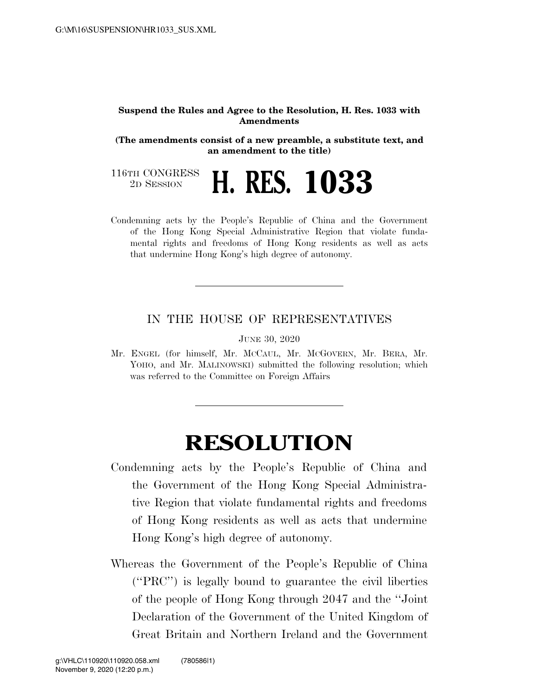## **Suspend the Rules and Agree to the Resolution, H. Res. 1033 with Amendments**

**(The amendments consist of a new preamble, a substitute text, and an amendment to the title)** 

116TH CONGRESS<br>2D SESSION

2D SESSION **H. RES. 1033** 

Condemning acts by the People's Republic of China and the Government of the Hong Kong Special Administrative Region that violate fundamental rights and freedoms of Hong Kong residents as well as acts that undermine Hong Kong's high degree of autonomy.

## IN THE HOUSE OF REPRESENTATIVES

JUNE 30, 2020

Mr. ENGEL (for himself, Mr. MCCAUL, Mr. MCGOVERN, Mr. BERA, Mr. YOHO, and Mr. MALINOWSKI) submitted the following resolution; which was referred to the Committee on Foreign Affairs

## **RESOLUTION**

- Condemning acts by the People's Republic of China and the Government of the Hong Kong Special Administrative Region that violate fundamental rights and freedoms of Hong Kong residents as well as acts that undermine Hong Kong's high degree of autonomy.
- Whereas the Government of the People's Republic of China (''PRC'') is legally bound to guarantee the civil liberties of the people of Hong Kong through 2047 and the ''Joint Declaration of the Government of the United Kingdom of Great Britain and Northern Ireland and the Government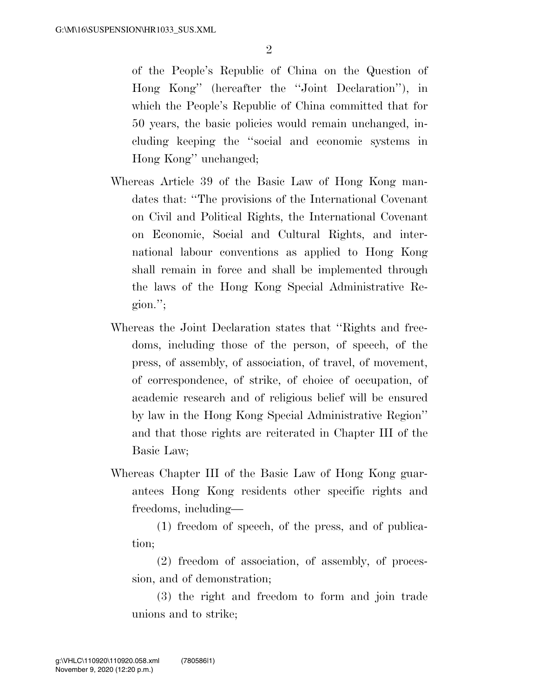of the People's Republic of China on the Question of Hong Kong'' (hereafter the ''Joint Declaration''), in which the People's Republic of China committed that for 50 years, the basic policies would remain unchanged, including keeping the ''social and economic systems in Hong Kong'' unchanged;

- Whereas Article 39 of the Basic Law of Hong Kong mandates that: ''The provisions of the International Covenant on Civil and Political Rights, the International Covenant on Economic, Social and Cultural Rights, and international labour conventions as applied to Hong Kong shall remain in force and shall be implemented through the laws of the Hong Kong Special Administrative Region.'';
- Whereas the Joint Declaration states that ''Rights and freedoms, including those of the person, of speech, of the press, of assembly, of association, of travel, of movement, of correspondence, of strike, of choice of occupation, of academic research and of religious belief will be ensured by law in the Hong Kong Special Administrative Region'' and that those rights are reiterated in Chapter III of the Basic Law;
- Whereas Chapter III of the Basic Law of Hong Kong guarantees Hong Kong residents other specific rights and freedoms, including—

(1) freedom of speech, of the press, and of publication;

(2) freedom of association, of assembly, of procession, and of demonstration;

(3) the right and freedom to form and join trade unions and to strike;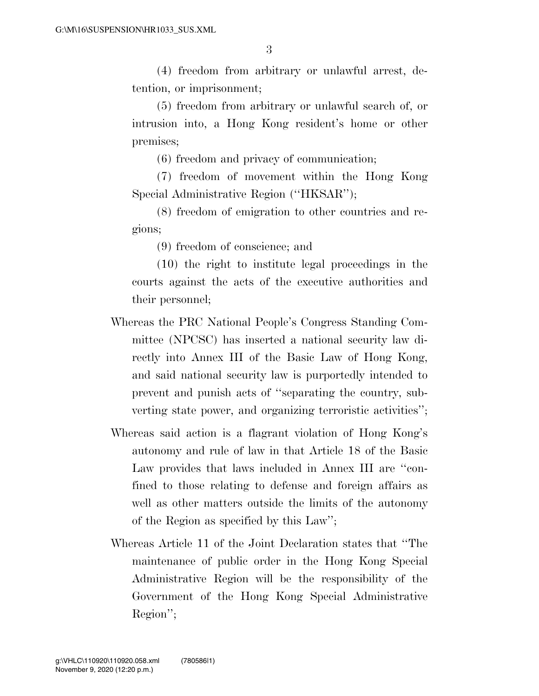(4) freedom from arbitrary or unlawful arrest, detention, or imprisonment;

(5) freedom from arbitrary or unlawful search of, or intrusion into, a Hong Kong resident's home or other premises;

(6) freedom and privacy of communication;

(7) freedom of movement within the Hong Kong Special Administrative Region ("HKSAR");

(8) freedom of emigration to other countries and regions;

(9) freedom of conscience; and

(10) the right to institute legal proceedings in the courts against the acts of the executive authorities and their personnel;

- Whereas the PRC National People's Congress Standing Committee (NPCSC) has inserted a national security law directly into Annex III of the Basic Law of Hong Kong, and said national security law is purportedly intended to prevent and punish acts of ''separating the country, subverting state power, and organizing terroristic activities'';
- Whereas said action is a flagrant violation of Hong Kong's autonomy and rule of law in that Article 18 of the Basic Law provides that laws included in Annex III are "confined to those relating to defense and foreign affairs as well as other matters outside the limits of the autonomy of the Region as specified by this Law'';
- Whereas Article 11 of the Joint Declaration states that ''The maintenance of public order in the Hong Kong Special Administrative Region will be the responsibility of the Government of the Hong Kong Special Administrative Region'';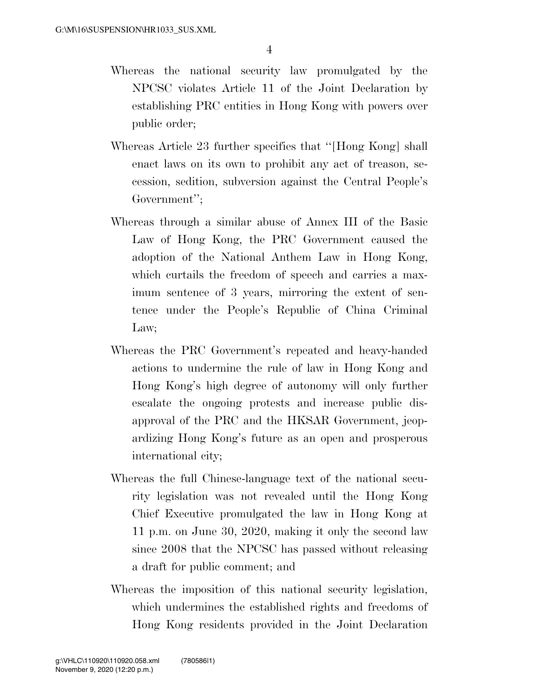- Whereas the national security law promulgated by the NPCSC violates Article 11 of the Joint Declaration by establishing PRC entities in Hong Kong with powers over public order;
- Whereas Article 23 further specifies that ''[Hong Kong] shall enact laws on its own to prohibit any act of treason, secession, sedition, subversion against the Central People's Government'';
- Whereas through a similar abuse of Annex III of the Basic Law of Hong Kong, the PRC Government caused the adoption of the National Anthem Law in Hong Kong, which curtails the freedom of speech and carries a maximum sentence of 3 years, mirroring the extent of sentence under the People's Republic of China Criminal Law;
- Whereas the PRC Government's repeated and heavy-handed actions to undermine the rule of law in Hong Kong and Hong Kong's high degree of autonomy will only further escalate the ongoing protests and increase public disapproval of the PRC and the HKSAR Government, jeopardizing Hong Kong's future as an open and prosperous international city;
- Whereas the full Chinese-language text of the national security legislation was not revealed until the Hong Kong Chief Executive promulgated the law in Hong Kong at 11 p.m. on June 30, 2020, making it only the second law since 2008 that the NPCSC has passed without releasing a draft for public comment; and
- Whereas the imposition of this national security legislation, which undermines the established rights and freedoms of Hong Kong residents provided in the Joint Declaration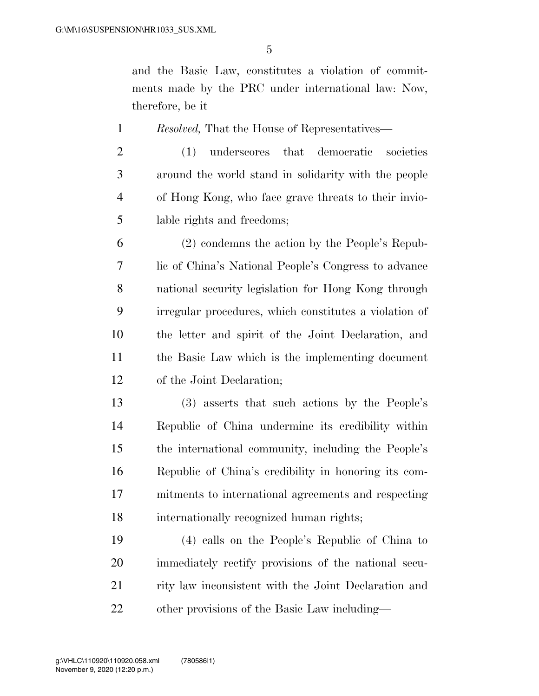and the Basic Law, constitutes a violation of commitments made by the PRC under international law: Now, therefore, be it

*Resolved,* That the House of Representatives—

 (1) underscores that democratic societies around the world stand in solidarity with the people of Hong Kong, who face grave threats to their invio-lable rights and freedoms;

 (2) condemns the action by the People's Repub- lic of China's National People's Congress to advance national security legislation for Hong Kong through irregular procedures, which constitutes a violation of the letter and spirit of the Joint Declaration, and the Basic Law which is the implementing document of the Joint Declaration;

 (3) asserts that such actions by the People's Republic of China undermine its credibility within the international community, including the People's Republic of China's credibility in honoring its com- mitments to international agreements and respecting internationally recognized human rights;

 (4) calls on the People's Republic of China to immediately rectify provisions of the national secu-21 rity law inconsistent with the Joint Declaration and other provisions of the Basic Law including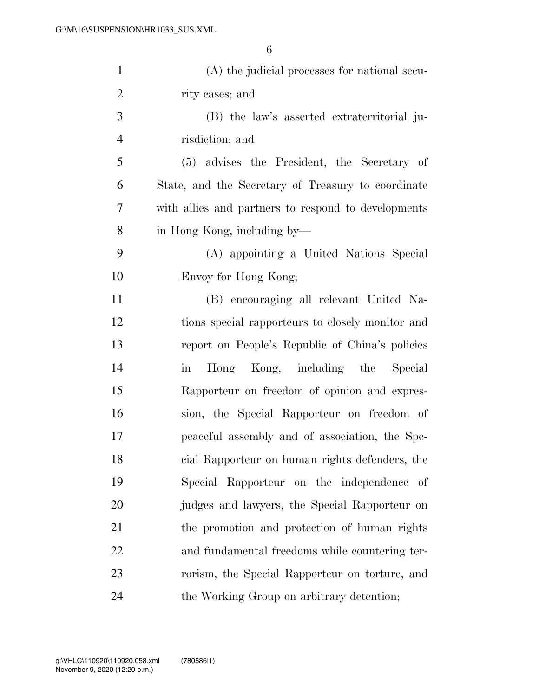| $\mathbf{1}$   | (A) the judicial processes for national secu-           |
|----------------|---------------------------------------------------------|
| $\overline{2}$ | rity cases; and                                         |
| 3              | (B) the law's asserted extraterritorial ju-             |
| $\overline{4}$ | risdiction; and                                         |
| 5              | (5) advises the President, the Secretary of             |
| 6              | State, and the Secretary of Treasury to coordinate      |
| 7              | with allies and partners to respond to developments     |
| 8              | in Hong Kong, including by—                             |
| 9              | (A) appointing a United Nations Special                 |
| 10             | Envoy for Hong Kong;                                    |
| 11             | (B) encouraging all relevant United Na-                 |
| 12             | tions special rapporteurs to closely monitor and        |
| 13             | report on People's Republic of China's policies         |
| 14             | Hong Kong, including the Special<br>$\operatorname{in}$ |
| 15             | Rapporteur on freedom of opinion and expres-            |
| 16             | sion, the Special Rapporteur on freedom of              |
| 17             | peaceful assembly and of association, the Spe-          |
| 18             | cial Rapporteur on human rights defenders, the          |
| 19             | Special Rapporteur on the independence<br>- of          |
| 20             | judges and lawyers, the Special Rapporteur on           |
| 21             | the promotion and protection of human rights            |
| 22             | and fundamental freedoms while countering ter-          |
| 23             | rorism, the Special Rapporteur on torture, and          |
| 24             | the Working Group on arbitrary detention;               |